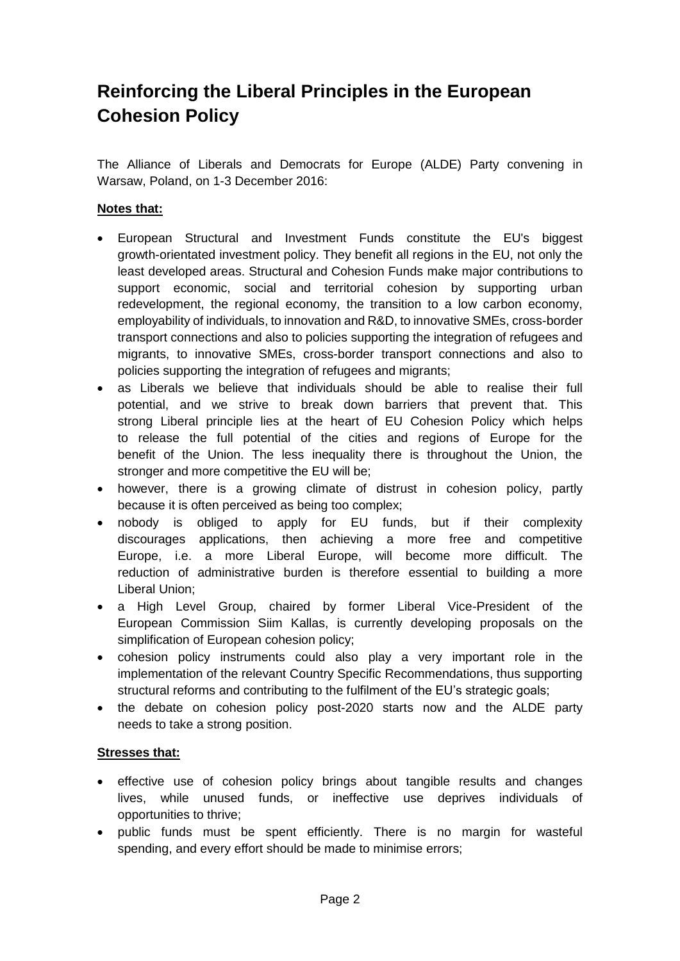## **Reinforcing the Liberal Principles in the European Cohesion Policy**

The Alliance of Liberals and Democrats for Europe (ALDE) Party convening in Warsaw, Poland, on 1-3 December 2016:

## **Notes that:**

- European Structural and Investment Funds constitute the EU's biggest growth-orientated investment policy. They benefit all regions in the EU, not only the least developed areas. Structural and Cohesion Funds make major contributions to support economic, social and territorial cohesion by supporting urban redevelopment, the regional economy, the transition to a low carbon economy, employability of individuals, to innovation and R&D, to innovative SMEs, cross-border transport connections and also to policies supporting the integration of refugees and migrants, to innovative SMEs, cross-border transport connections and also to policies supporting the integration of refugees and migrants;
- as Liberals we believe that individuals should be able to realise their full potential, and we strive to break down barriers that prevent that. This strong Liberal principle lies at the heart of EU Cohesion Policy which helps to release the full potential of the cities and regions of Europe for the benefit of the Union. The less inequality there is throughout the Union, the stronger and more competitive the EU will be;
- however, there is a growing climate of distrust in cohesion policy, partly because it is often perceived as being too complex;
- nobody is obliged to apply for EU funds, but if their complexity discourages applications, then achieving a more free and competitive Europe, i.e. a more Liberal Europe, will become more difficult. The reduction of administrative burden is therefore essential to building a more Liberal Union;
- a High Level Group, chaired by former Liberal Vice-President of the European Commission Siim Kallas, is currently developing proposals on the simplification of European cohesion policy;
- cohesion policy instruments could also play a very important role in the implementation of the relevant Country Specific Recommendations, thus supporting structural reforms and contributing to the fulfilment of the EU's strategic goals;
- the debate on cohesion policy post-2020 starts now and the ALDE party needs to take a strong position.

## **Stresses that:**

- effective use of cohesion policy brings about tangible results and changes lives, while unused funds, or ineffective use deprives individuals of opportunities to thrive;
- public funds must be spent efficiently. There is no margin for wasteful spending, and every effort should be made to minimise errors;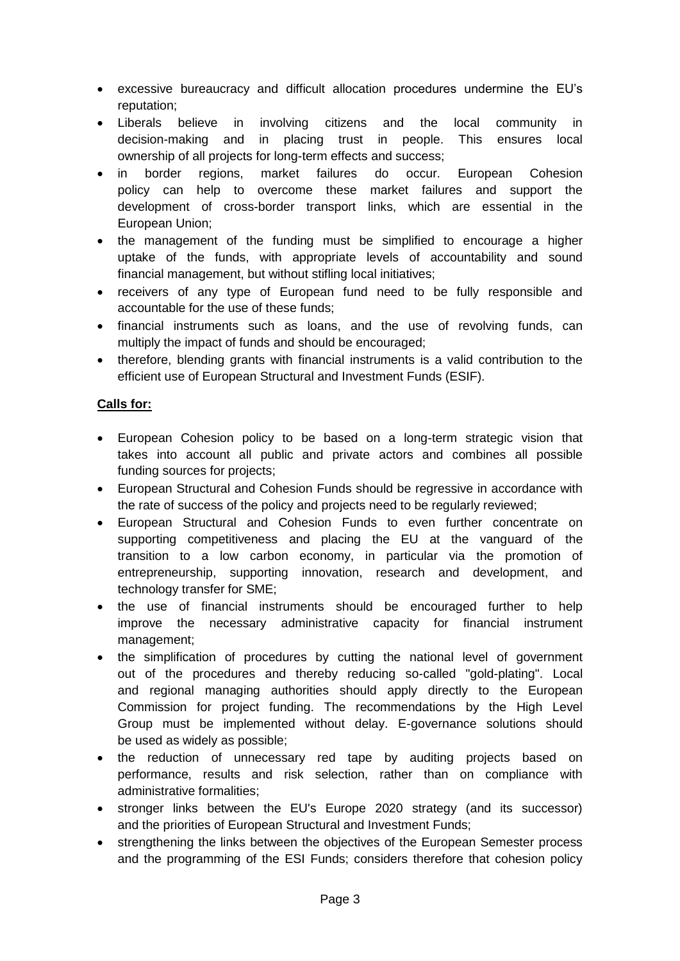- excessive bureaucracy and difficult allocation procedures undermine the EU's reputation;
- Liberals believe in involving citizens and the local community in decision-making and in placing trust in people. This ensures local ownership of all projects for long-term effects and success;
- in border regions, market failures do occur. European Cohesion policy can help to overcome these market failures and support the development of cross-border transport links, which are essential in the European Union;
- the management of the funding must be simplified to encourage a higher uptake of the funds, with appropriate levels of accountability and sound financial management, but without stifling local initiatives;
- receivers of any type of European fund need to be fully responsible and accountable for the use of these funds;
- financial instruments such as loans, and the use of revolving funds, can multiply the impact of funds and should be encouraged;
- therefore, blending grants with financial instruments is a valid contribution to the efficient use of European Structural and Investment Funds (ESIF).

## **Calls for:**

- European Cohesion policy to be based on a long-term strategic vision that takes into account all public and private actors and combines all possible funding sources for projects;
- European Structural and Cohesion Funds should be regressive in accordance with the rate of success of the policy and projects need to be regularly reviewed;
- European Structural and Cohesion Funds to even further concentrate on supporting competitiveness and placing the EU at the vanguard of the transition to a low carbon economy, in particular via the promotion of entrepreneurship, supporting innovation, research and development, and technology transfer for SME;
- the use of financial instruments should be encouraged further to help improve the necessary administrative capacity for financial instrument management;
- the simplification of procedures by cutting the national level of government out of the procedures and thereby reducing so-called "gold-plating". Local and regional managing authorities should apply directly to the European Commission for project funding. The recommendations by the High Level Group must be implemented without delay. E-governance solutions should be used as widely as possible;
- the reduction of unnecessary red tape by auditing projects based on performance, results and risk selection, rather than on compliance with administrative formalities;
- stronger links between the EU's Europe 2020 strategy (and its successor) and the priorities of European Structural and Investment Funds;
- strengthening the links between the objectives of the European Semester process and the programming of the ESI Funds; considers therefore that cohesion policy